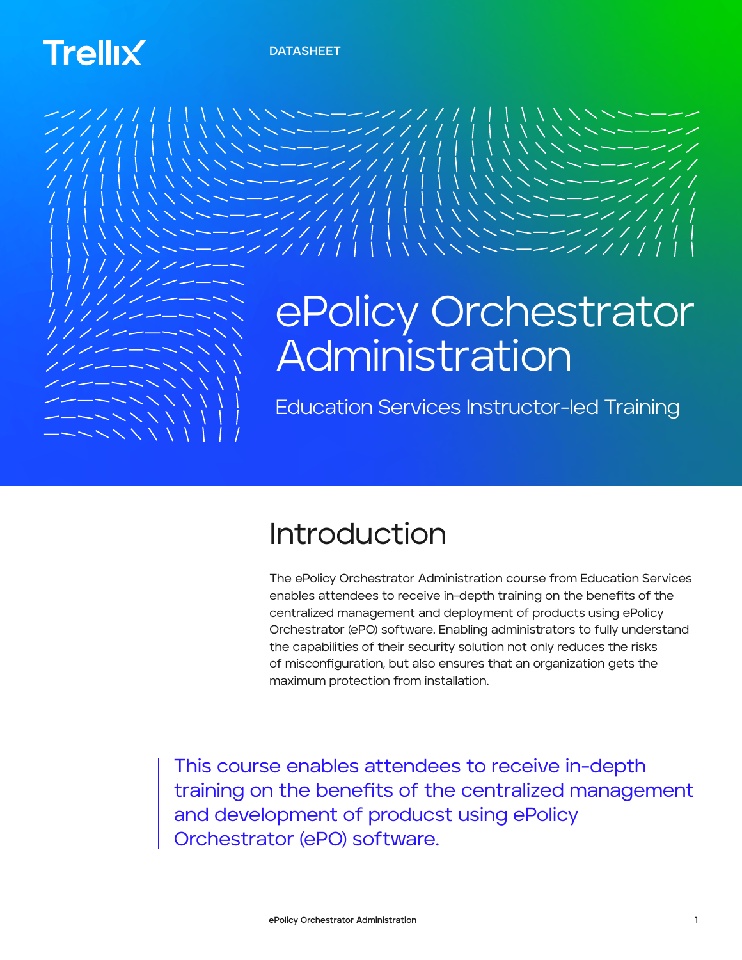# **Trellix**



## Introduction

The ePolicy Orchestrator Administration course from Education Services enables attendees to receive in-depth training on the benefits of the centralized management and deployment of products using ePolicy Orchestrator (ePO) software. Enabling administrators to fully understand the capabilities of their security solution not only reduces the risks of misconfiguration, but also ensures that an organization gets the maximum protection from installation.

This course enables attendees to receive in-depth training on the benefits of the centralized management and development of producst using ePolicy Orchestrator (ePO) software.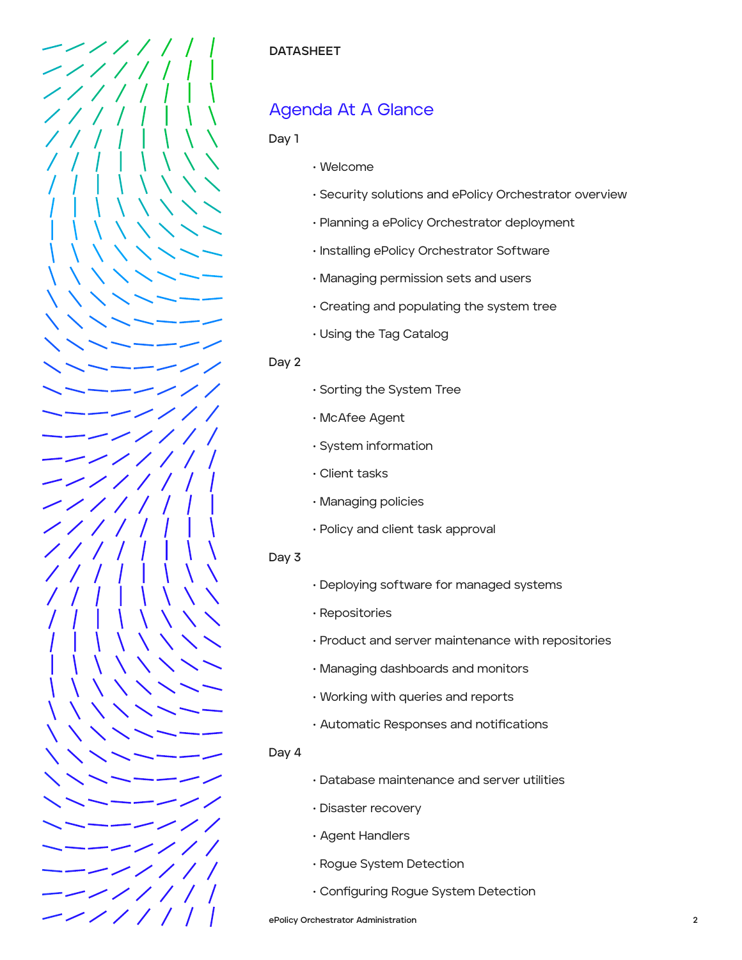

#### **DATASHEET**

## Agenda At A Glance

#### **Day 1**

- Welcome
- Security solutions and ePolicy Orchestrator overview
- Planning a ePolicy Orchestrator deployment
- Installing ePolicy Orchestrator Software
- Managing permission sets and users
- Creating and populating the system tree
- Using the Tag Catalog

#### **Day 2**

- Sorting the System Tree
- McAfee Agent
- System information
- Client tasks
- Managing policies
- Policy and client task approval

#### **Day 3**

- Deploying software for managed systems
- Repositories
- Product and server maintenance with repositories
- Managing dashboards and monitors
- Working with queries and reports
- Automatic Responses and notifications

#### **Day 4**

- Database maintenance and server utilities
- Disaster recovery
- Agent Handlers
- Rogue System Detection
- Configuring Rogue System Detection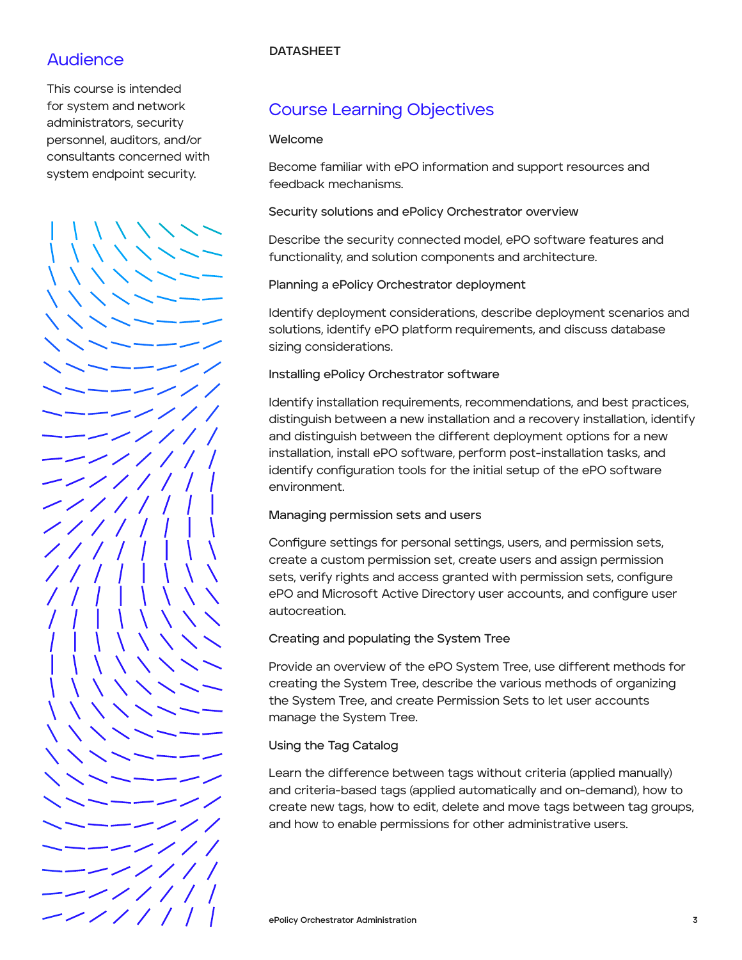#### **DATASHEET**

## Audience

This course is intended for system and network administrators, security personnel, auditors, and/or consultants concerned with system endpoint security.

ر سەپ - - - - $\sim$  / / / ーーーンノ ---//// ーーンノノノノ  $-$  / / / / /

## Course Learning Objectives

#### **Welcome**

Become familiar with ePO information and support resources and feedback mechanisms.

**Security solutions and ePolicy Orchestrator overview**

Describe the security connected model, ePO software features and functionality, and solution components and architecture.

**Planning a ePolicy Orchestrator deployment**

Identify deployment considerations, describe deployment scenarios and solutions, identify ePO platform requirements, and discuss database sizing considerations.

#### **Installing ePolicy Orchestrator software**

Identify installation requirements, recommendations, and best practices, distinguish between a new installation and a recovery installation, identify and distinguish between the different deployment options for a new installation, install ePO software, perform post-installation tasks, and identify configuration tools for the initial setup of the ePO software environment.

#### **Managing permission sets and users**

Configure settings for personal settings, users, and permission sets, create a custom permission set, create users and assign permission sets, verify rights and access granted with permission sets, configure ePO and Microsoft Active Directory user accounts, and configure user autocreation.

#### **Creating and populating the System Tree**

Provide an overview of the ePO System Tree, use different methods for creating the System Tree, describe the various methods of organizing the System Tree, and create Permission Sets to let user accounts manage the System Tree.

#### **Using the Tag Catalog**

Learn the difference between tags without criteria (applied manually) and criteria-based tags (applied automatically and on-demand), how to create new tags, how to edit, delete and move tags between tag groups, and how to enable permissions for other administrative users.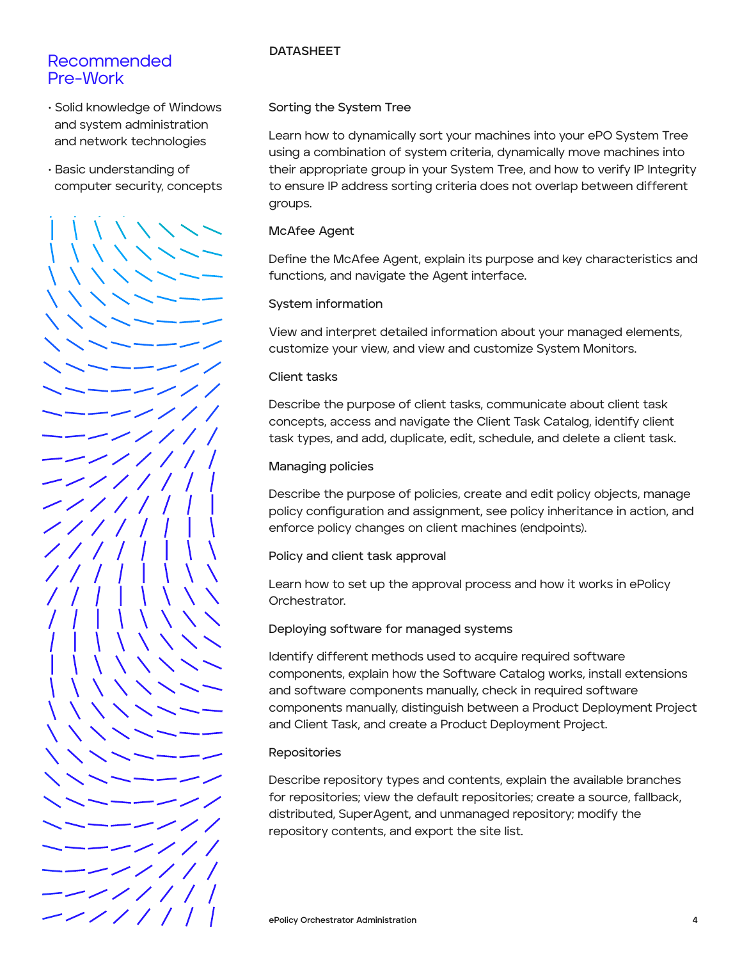#### Recommended Pre-Work

- Solid knowledge of Windows and system administration and network technologies
- Basic understanding of computer security, concepts



#### **DATASHEET**

#### **Sorting the System Tree**

Learn how to dynamically sort your machines into your ePO System Tree using a combination of system criteria, dynamically move machines into their appropriate group in your System Tree, and how to verify IP Integrity to ensure IP address sorting criteria does not overlap between different groups.

#### **McAfee Agent**

Define the McAfee Agent, explain its purpose and key characteristics and functions, and navigate the Agent interface.

#### **System information**

View and interpret detailed information about your managed elements, customize your view, and view and customize System Monitors.

#### **Client tasks**

Describe the purpose of client tasks, communicate about client task concepts, access and navigate the Client Task Catalog, identify client task types, and add, duplicate, edit, schedule, and delete a client task.

#### **Managing policies**

Describe the purpose of policies, create and edit policy objects, manage policy configuration and assignment, see policy inheritance in action, and enforce policy changes on client machines (endpoints).

**Policy and client task approval**

Learn how to set up the approval process and how it works in ePolicy Orchestrator.

#### **Deploying software for managed systems**

Identify different methods used to acquire required software components, explain how the Software Catalog works, install extensions and software components manually, check in required software components manually, distinguish between a Product Deployment Project and Client Task, and create a Product Deployment Project.

#### **Repositories**

Describe repository types and contents, explain the available branches for repositories; view the default repositories; create a source, fallback, distributed, SuperAgent, and unmanaged repository; modify the repository contents, and export the site list.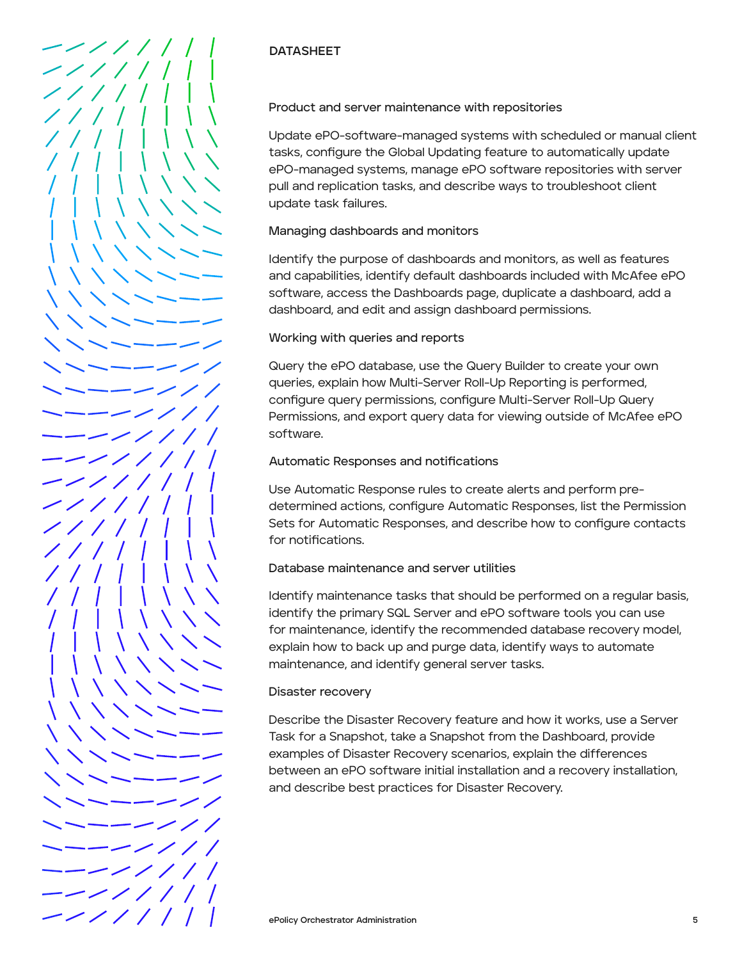

### **DATASHEET**

**Product and server maintenance with repositories** 

Update ePO-software-managed systems with scheduled or manual client tasks, configure the Global Updating feature to automatically update ePO-managed systems, manage ePO software repositories with server pull and replication tasks, and describe ways to troubleshoot client update task failures.

#### **Managing dashboards and monitors**

Identify the purpose of dashboards and monitors, as well as features and capabilities, identify default dashboards included with McAfee ePO software, access the Dashboards page, duplicate a dashboard, add a dashboard, and edit and assign dashboard permissions.

#### **Working with queries and reports**

Query the ePO database, use the Query Builder to create your own queries, explain how Multi-Server Roll-Up Reporting is performed, configure query permissions, configure Multi-Server Roll-Up Query Permissions, and export query data for viewing outside of McAfee ePO software.

#### **Automatic Responses and notifications**

Use Automatic Response rules to create alerts and perform predetermined actions, configure Automatic Responses, list the Permission Sets for Automatic Responses, and describe how to configure contacts for notifications.

#### **Database maintenance and server utilities**

Identify maintenance tasks that should be performed on a regular basis, identify the primary SQL Server and ePO software tools you can use for maintenance, identify the recommended database recovery model, explain how to back up and purge data, identify ways to automate maintenance, and identify general server tasks.

#### **Disaster recovery**

Describe the Disaster Recovery feature and how it works, use a Server Task for a Snapshot, take a Snapshot from the Dashboard, provide examples of Disaster Recovery scenarios, explain the differences between an ePO software initial installation and a recovery installation, and describe best practices for Disaster Recovery.